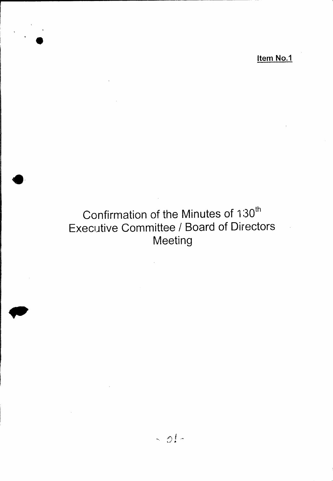Item No.1

# Confirmation of the Minutes of 130<sup>th</sup> Executive Committee / Board of Directors Meeting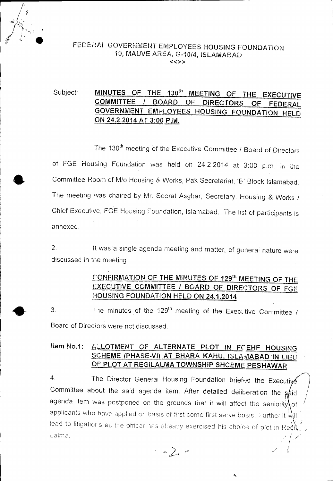

•

#### FEDERAL GOVERNMENT EMPLOYEES HOUSING FOUNDATIO 10, MAUVE AREA, G-10/4, ISLAMABAD «»

#### Subject: MINUTES OF THE 130<sup>th</sup> MEETING OF THE EXECUTIVE COMMITTEE / BOARD OF DIRECTORS OF FEDERAL GOVERNMENT EMPLOYEES HOUSING FOUNDATION HELD ON 24.2.2014 AT 3:00 P.M.

The 130th meeting of the Executive Committee *I* Board of Directors of FGE Housing Foundation was held on 24.2.2014 at 3:00 p.m. in the \_ Committee Room of *Mlo* Housing 8: Works, Pak Secretariat, 'E,' Block Islamabad. The meeting was chaired by Mr. Seerat Asghar, Secretary, Housing & Works / Chief Executive, FGE Housing Foundation, Islamabad. The li3t of participants is annexed.

2. It was a single agenda meeting and matter, of general nature were discussed in the meeting.

## CONFIRMATION OF THE MINUTES OF 129<sup>th</sup> MEETING OF THE EXECUTIVE COMMITTEE *I* BOARD OF DIRECTORS OF FGE HOUSING FOUNDATION HELD ON 24.1.2014

3. The minutes of the 129<sup>th</sup> meeting of the Executive Committee *i* Board of Directors were not discussed.

#### Item No.1: ALLOTMENT OF ALTERNATE PLOT IN FCEHF HOUSING SCHEME (PHASE-VI) AT BHARA KAHU, ISLA MABAD IN LIEU Of PLOT AT REGILALMA TOWNSHIP SHCEME PESHAWAR

4. The Director General Housing Foundation briefed the Executive Committee about the said agenda item. After detailed deliberation the  $s\acute{a}$ id agenda item was postponed on the grounds that it will affect the seniority of it applicants who have applied on basis of first come first serve basis. Further it will  $\mathcal{V}^{\scriptscriptstyle\text{L}}$  . lead to litigatior's as the officar has already exercised his choice of plot in Reok<sup>1</sup>. Laima. */ I /* I :- I

., where the contract of  $\mathcal{A}$ 

I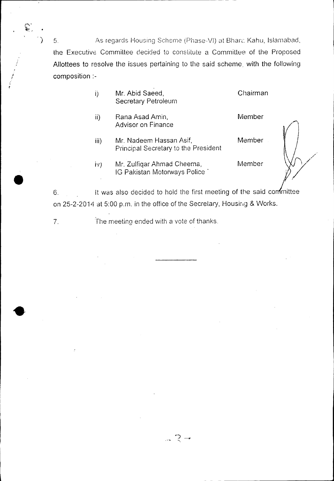5. As regards Housing Scheme (Phase-VI) at Bhara Kahu, Islamabad, the Executive Committee decided to constitute a Committee of the Proposed Allottees to resolve the issues pertaining to the said scheme, with the following composition :-

- i) Mr. Abid Saeed, Secretary Petroleum **Chairman**
- Rana Asad Amin, Advisor on Finance ii)

, I

- Mr. Nadeem Hassan Asif, Principal Secretary to the President iii)
- Mr. Zulfiqar Ahmad Cheema, Member  $\mathsf{i} \mathsf{v}$ IG Pakistan Motorways Police'

Member

Member

6. It was also decided to hold the first meeting of the said confinitiee on 25-2-2014 at 5:00 p.m. in the office of the Secretary, Housing & Works.

~""' ..,.... ...., *" -=1*

7. The meeting ended with a vote of thanks.